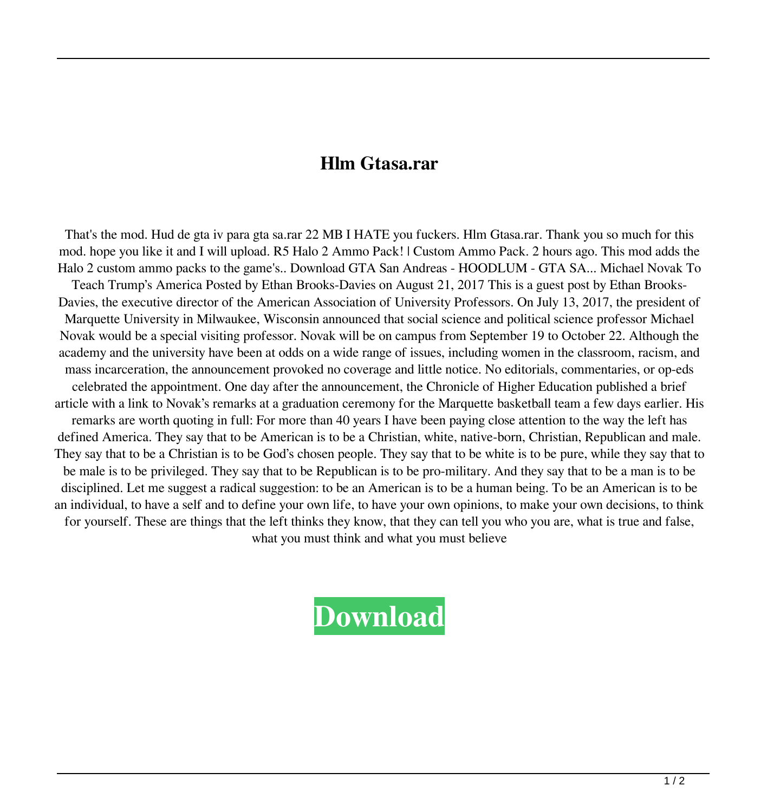## **Hlm Gtasa.rar**

That's the mod. Hud de gta iv para gta sa.rar 22 MB I HATE you fuckers. Hlm Gtasa.rar. Thank you so much for this mod. hope you like it and I will upload. R5 Halo 2 Ammo Pack! | Custom Ammo Pack. 2 hours ago. This mod adds the Halo 2 custom ammo packs to the game's.. Download GTA San Andreas - HOODLUM - GTA SA... Michael Novak To Teach Trump's America Posted by Ethan Brooks-Davies on August 21, 2017 This is a guest post by Ethan Brooks-Davies, the executive director of the American Association of University Professors. On July 13, 2017, the president of Marquette University in Milwaukee, Wisconsin announced that social science and political science professor Michael Novak would be a special visiting professor. Novak will be on campus from September 19 to October 22. Although the academy and the university have been at odds on a wide range of issues, including women in the classroom, racism, and mass incarceration, the announcement provoked no coverage and little notice. No editorials, commentaries, or op-eds celebrated the appointment. One day after the announcement, the Chronicle of Higher Education published a brief article with a link to Novak's remarks at a graduation ceremony for the Marquette basketball team a few days earlier. His remarks are worth quoting in full: For more than 40 years I have been paying close attention to the way the left has defined America. They say that to be American is to be a Christian, white, native-born, Christian, Republican and male. They say that to be a Christian is to be God's chosen people. They say that to be white is to be pure, while they say that to be male is to be privileged. They say that to be Republican is to be pro-military. And they say that to be a man is to be disciplined. Let me suggest a radical suggestion: to be an American is to be a human being. To be an American is to be an individual, to have a self and to define your own life, to have your own opinions, to make your own decisions, to think for yourself. These are things that the left thinks they know, that they can tell you who you are, what is true and false, what you must think and what you must believe